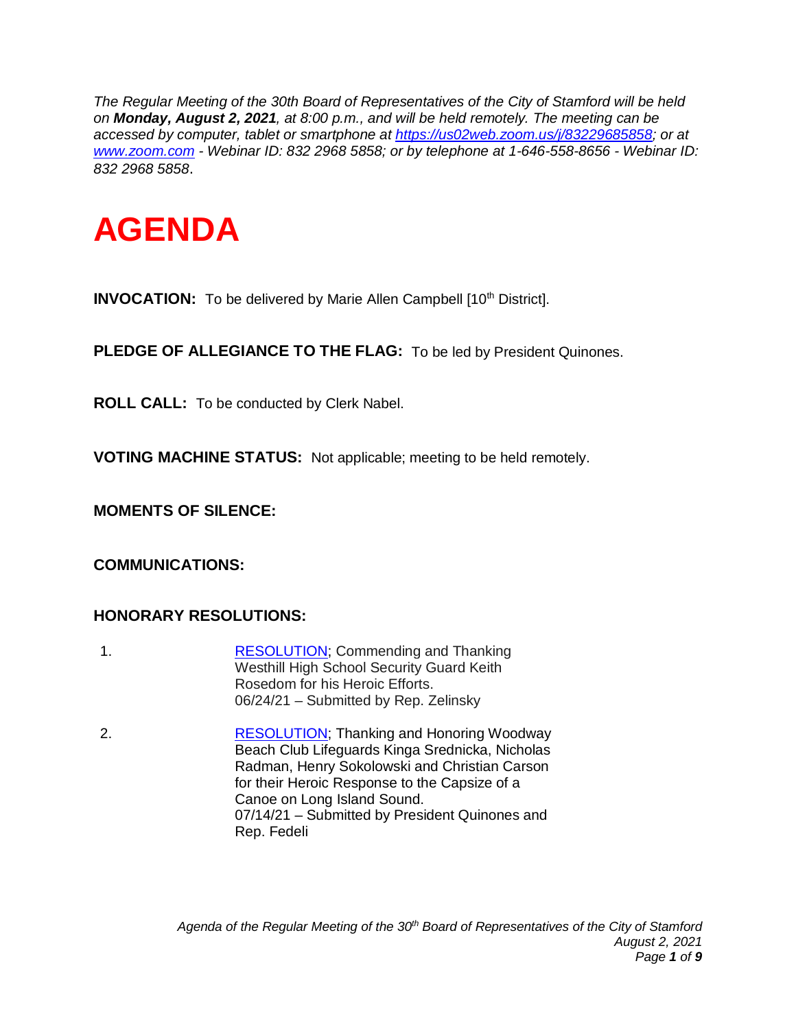*The Regular Meeting of the 30th Board of Representatives of the City of Stamford will be held on Monday, August 2, 2021, at 8:00 p.m., and will be held remotely. The meeting can be accessed by computer, tablet or smartphone at [https://us02web.zoom.us/j/83229685858;](https://us02web.zoom.us/j/83229685858) or at [www.zoom.com](http://www.zoom.com/) - Webinar ID: 832 2968 5858; or by telephone at 1-646-558-8656 - Webinar ID: 832 2968 5858*.



**INVOCATION:** To be delivered by Marie Allen Campbell [10<sup>th</sup> District].

**PLEDGE OF ALLEGIANCE TO THE FLAG:** To be led by President Quinones.

**ROLL CALL:** To be conducted by Clerk Nabel.

**VOTING MACHINE STATUS:** Not applicable; meeting to be held remotely.

**MOMENTS OF SILENCE:** 

**COMMUNICATIONS:** 

### **HONORARY RESOLUTIONS:**

- 1. [RESOLUTION;](http://www.boardofreps.org/data/sites/43/userfiles/minutes/2021/sobs/rosedom_sob.pdf) Commending and Thanking Westhill High School Security Guard Keith Rosedom for his Heroic Efforts. 06/24/21 – Submitted by Rep. Zelinsky
- 2. [RESOLUTION;](http://www.boardofreps.org/data/sites/43/userfiles/minutes/2021/sobs/woodway_sob.pdf) Thanking and Honoring Woodway Beach Club Lifeguards Kinga Srednicka, Nicholas Radman, Henry Sokolowski and Christian Carson for their Heroic Response to the Capsize of a Canoe on Long Island Sound. 07/14/21 – Submitted by President Quinones and Rep. Fedeli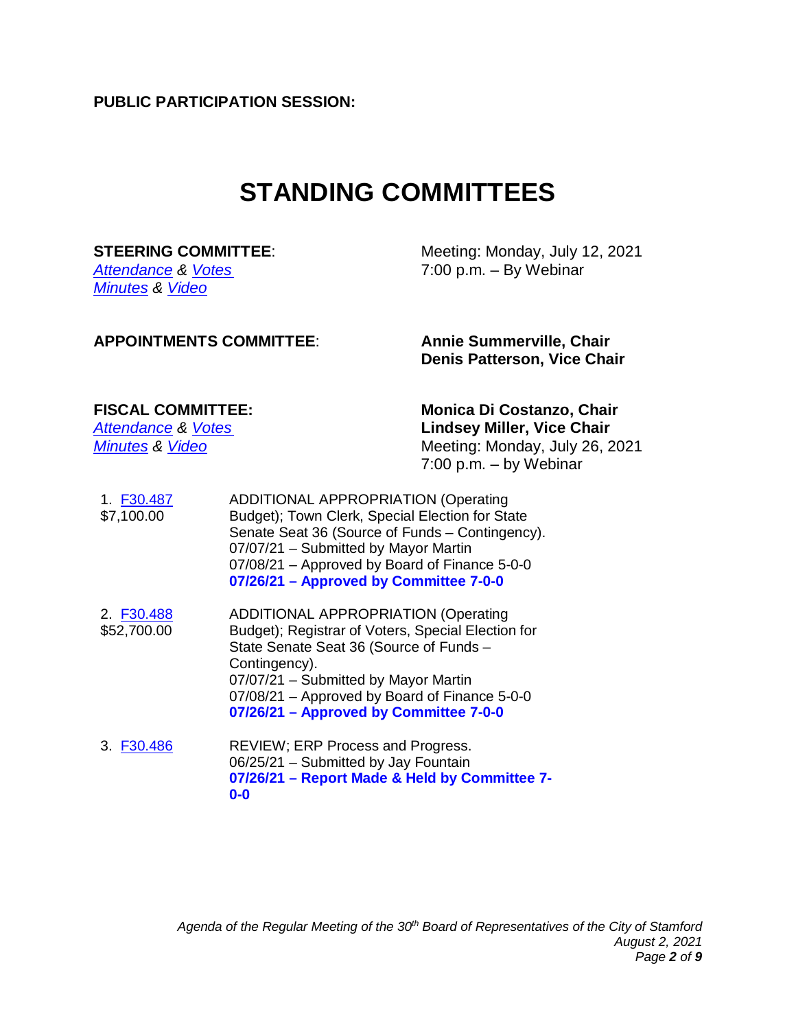**PUBLIC PARTICIPATION SESSION:**

## **STANDING COMMITTEES**

*[Minutes](http://www.boardofreps.org/Data/Sites/43/userfiles/committees/steering/reports/2021/210712.pdf) & [Video](http://cityofstamford.granicus.com/player/clip/10687)*

**STEERING COMMITTEE:** Meeting: Monday, July 12, 2021 *[Attendance](http://www.boardofreps.org/Data/Sites/43/userfiles/committees/steering/attend/2021/210712_steering_attend.pdf) & [Votes](http://www.boardofreps.org/Data/Sites/43/userfiles/committees/steering/votes/2021/210712_steering_vote.pdf)* 7:00 p.m. – By Webinar

#### **APPOINTMENTS COMMITTEE**: **Annie Summerville, Chair**

**Denis Patterson, Vice Chair**

**FISCAL COMMITTEE: Monica Di Costanzo, Chair** *[Attendance](http://www.boardofreps.org/Data/Sites/43/userfiles/committees/fiscal/attend/2021/f210726_attend.pdf) & [Votes](http://www.boardofreps.org/Data/Sites/43/userfiles/committees/fiscal/votes/2021/f210726_vote.pdf)* **Lindsey Miller, Vice Chair** *[Minutes](http://www.boardofreps.org/Data/Sites/43/userfiles/committees/fiscal/reports/2021/f210726.pdf)* & *Video* Meeting: Monday, July 26, 2021 7:00 p.m. – by Webinar

- 1. [F30.487](http://www.boardofreps.org/Data/Sites/43/userfiles/committees/fiscal/items/2021/f30487.pdf) \$7,100.00 ADDITIONAL APPROPRIATION (Operating Budget); Town Clerk, Special Election for State Senate Seat 36 (Source of Funds – Contingency). 07/07/21 – Submitted by Mayor Martin 07/08/21 – Approved by Board of Finance 5-0-0 **07/26/21 – Approved by Committee 7-0-0**
- 2. [F30.488](http://www.boardofreps.org/Data/Sites/43/userfiles/committees/fiscal/items/2021/f30488.pdf) \$52,700.00 ADDITIONAL APPROPRIATION (Operating Budget); Registrar of Voters, Special Election for State Senate Seat 36 (Source of Funds – Contingency). 07/07/21 – Submitted by Mayor Martin 07/08/21 – Approved by Board of Finance 5-0-0 **07/26/21 – Approved by Committee 7-0-0**
- 3. [F30.486](http://www.boardofreps.org/Data/Sites/43/userfiles/committees/fiscal/items/2021/f30486.pdf) REVIEW; ERP Process and Progress. 06/25/21 – Submitted by Jay Fountain **07/26/21 – Report Made & Held by Committee 7- 0-0**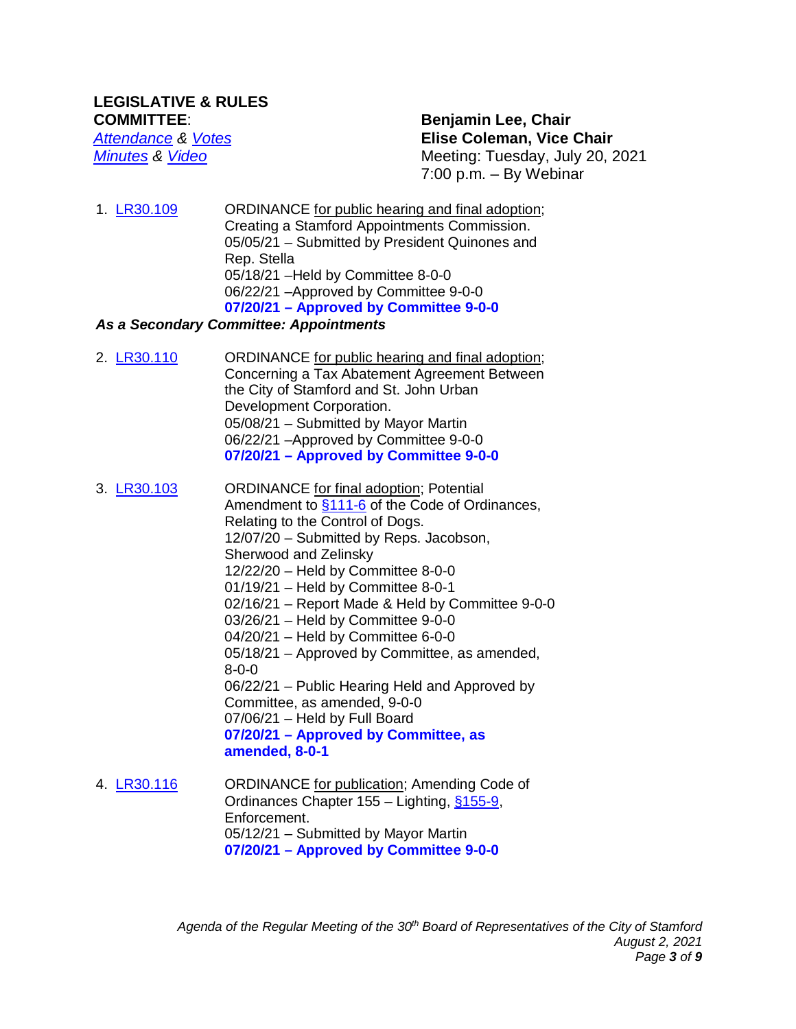*[Attendance](http://www.boardofreps.org/Data/Sites/43/userfiles/committees/legrules/attend/2021/lr210720_attend.pdf) & [Votes](http://www.boardofreps.org/Data/Sites/43/userfiles/committees/legrules/votes/2021/lr210720_vote.pdf)* **Elise Coleman, Vice Chair** *[Minutes](http://www.boardofreps.org/Data/Sites/43/userfiles/committees/legrules/reports/2021/lr210720.pdf) & [Video](http://cityofstamford.granicus.com/player/clip/10712?view_id=14&redirect=true)* Meeting: Tuesday, July 20, 2021 7:00 p.m. – By Webinar

1. [LR30.109](http://www.boardofreps.org/lr30109.aspx) ORDINANCE for public hearing and final adoption; Creating a Stamford Appointments Commission. 05/05/21 – Submitted by President Quinones and Rep. Stella 05/18/21 –Held by Committee 8-0-0 06/22/21 –Approved by Committee 9-0-0 **07/20/21 – Approved by Committee 9-0-0**

#### *As a Secondary Committee: Appointments*

- 2. **[LR30.110](http://www.boardofreps.org/lr30110.aspx)** ORDINANCE for public hearing and final adoption; Concerning a Tax Abatement Agreement Between the City of Stamford and St. John Urban Development Corporation. 05/08/21 – Submitted by Mayor Martin 06/22/21 –Approved by Committee 9-0-0 **07/20/21 – Approved by Committee 9-0-0**
- 3. [LR30.103](http://www.boardofreps.org/lr30103.aspx) ORDINANCE for final adoption; Potential Amendment to [§111-6](https://library.municode.com/ct/stamford/codes/code_of_ordinances?nodeId=COOR_CH111PUSAANWE_S111-6DO) of the Code of Ordinances, Relating to the Control of Dogs. 12/07/20 – Submitted by Reps. Jacobson, Sherwood and Zelinsky 12/22/20 – Held by Committee 8-0-0 01/19/21 – Held by Committee 8-0-1 02/16/21 – Report Made & Held by Committee 9-0-0 03/26/21 – Held by Committee 9-0-0 04/20/21 – Held by Committee 6-0-0 05/18/21 – Approved by Committee, as amended, 8-0-0 06/22/21 – Public Hearing Held and Approved by Committee, as amended, 9-0-0 07/06/21 – Held by Full Board **07/20/21 – Approved by Committee, as amended, 8-0-1** 4. [LR30.116](http://www.boardofreps.org/lr30116.aspx) ORDINANCE for publication; Amending Code of
- Ordinances Chapter 155 Lighting, [§155-9,](https://library.municode.com/ct/stamford/codes/code_of_ordinances?nodeId=COOR_CH155LI_S155-9EN) Enforcement. 05/12/21 – Submitted by Mayor Martin **07/20/21 – Approved by Committee 9-0-0**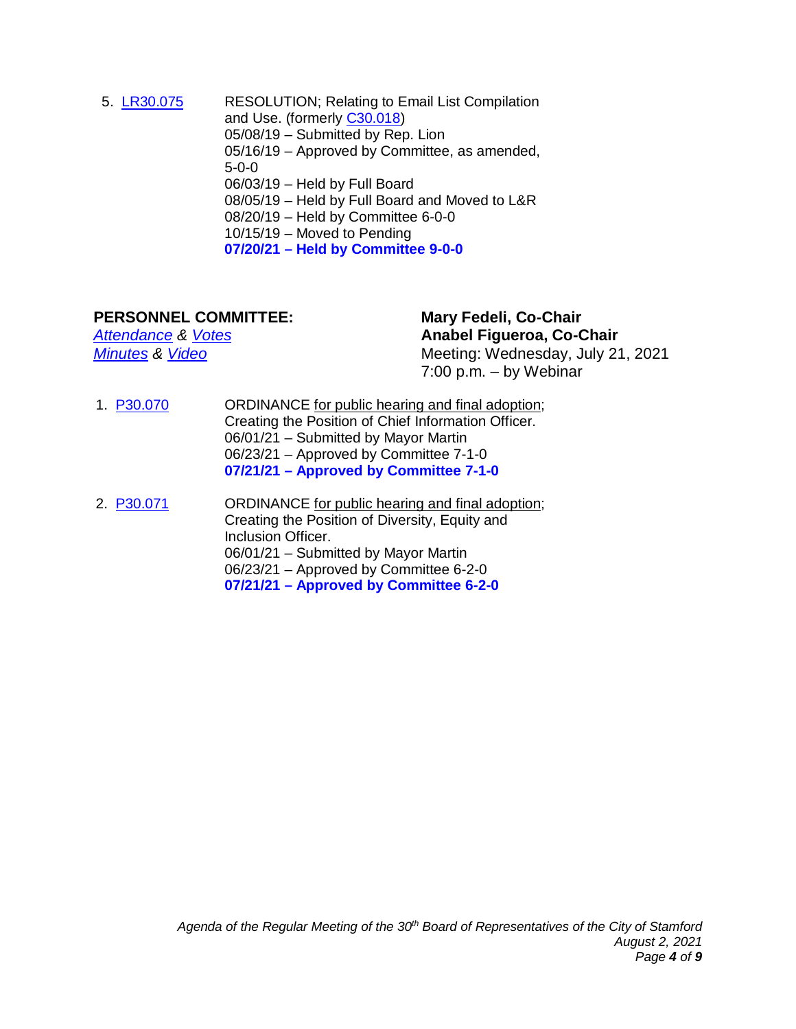5. [LR30.075](http://www.boardofreps.org/lr30075.aspx) RESOLUTION; Relating to Email List Compilation and Use. (formerly [C30.018\)](http://www.boardofreps.org/c30018.aspx) 05/08/19 – Submitted by Rep. Lion 05/16/19 – Approved by Committee, as amended, 5-0-0 06/03/19 – Held by Full Board 08/05/19 – Held by Full Board and Moved to L&R 08/20/19 – Held by Committee 6-0-0 10/15/19 – Moved to Pending **07/20/21 – Held by Committee 9-0-0**

**PERSONNEL COMMITTEE:** Mary Fedeli, Co-Chair<br>Attendance & Votes Mary Renaming Attendance & Votes *[Attendance](http://www.boardofreps.org/Data/Sites/43/userfiles/committees/personnel/attend/2021/p210721_attend.pdf) & [Votes](http://www.boardofreps.org/Data/Sites/43/userfiles/committees/personnel/votes/2021/p210721_vote.pdf)* **Anabel Figueroa, Co-Chair** *[Minutes](http://www.boardofreps.org/Data/Sites/43/userfiles/committees/personnel/reports/2021/p210721.pdf)* & *[Video](http://cityofstamford.granicus.com/player/clip/10719?view_id=14&redirect=true)* Meeting: Wednesday, July 21, 2021 7:00 p.m. – by Webinar

- 1. [P30.070](http://www.boardofreps.org/p30070.aspx) ORDINANCE for public hearing and final adoption; Creating the Position of Chief Information Officer. 06/01/21 – Submitted by Mayor Martin 06/23/21 – Approved by Committee 7-1-0 **07/21/21 – Approved by Committee 7-1-0**
- 2. [P30.071](http://www.boardofreps.org/p30071.aspx) ORDINANCE for public hearing and final adoption; Creating the Position of Diversity, Equity and Inclusion Officer. 06/01/21 – Submitted by Mayor Martin 06/23/21 – Approved by Committee 6-2-0 **07/21/21 – Approved by Committee 6-2-0**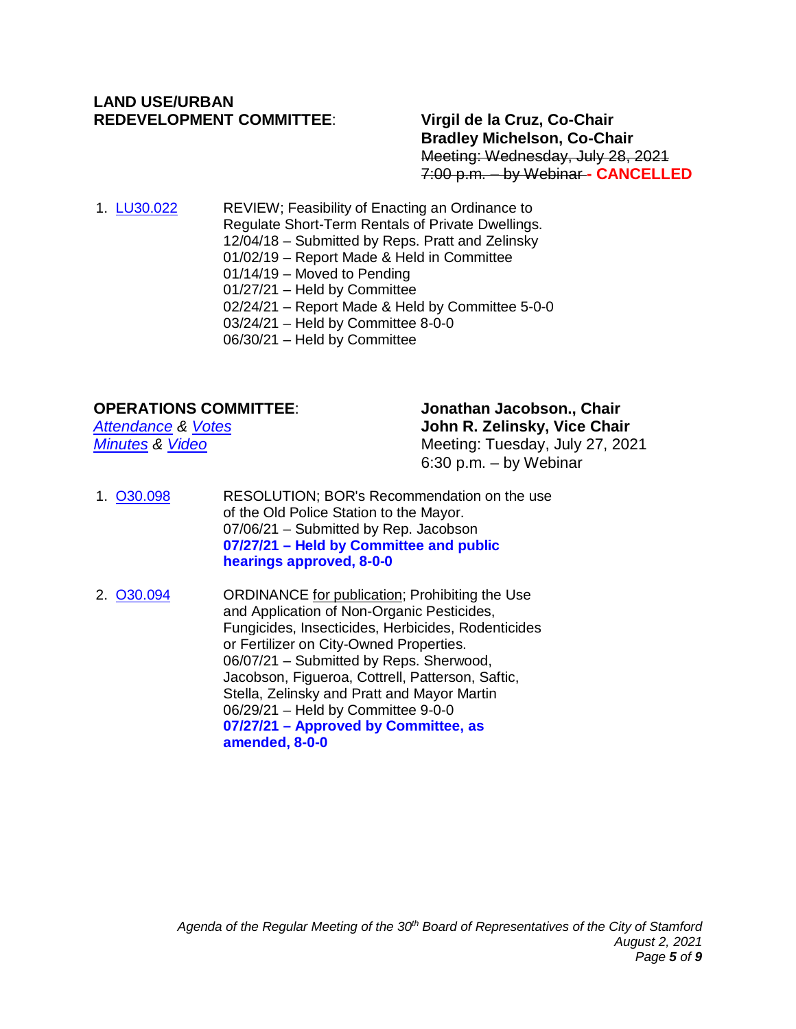### **LAND USE/URBAN REDEVELOPMENT COMMITTEE**: **Virgil de la Cruz, Co-Chair**

### **Bradley Michelson, Co-Chair** Meeting: Wednesday, July 28, 2021 7:00 p.m. – by Webinar **- CANCELLED**

1. [LU30.022](http://www.boardofreps.org/lu30022.aspx) REVIEW; Feasibility of Enacting an Ordinance to Regulate Short-Term Rentals of Private Dwellings. 12/04/18 – Submitted by Reps. Pratt and Zelinsky 01/02/19 – Report Made & Held in Committee 01/14/19 – Moved to Pending 01/27/21 – Held by Committee 02/24/21 – Report Made & Held by Committee 5-0-0 03/24/21 – Held by Committee 8-0-0 06/30/21 – Held by Committee

#### **OPERATIONS COMMITTEE**: **Jonathan Jacobson., Chair**

*[Attendance](http://www.boardofreps.org/Data/Sites/43/userfiles/committees/operations/attend/2021/o210727_attend.pdf) & [Votes](http://www.boardofreps.org/Data/Sites/43/userfiles/committees/operations/votes/2021/o210727_vote.pdf)* **John R. Zelinsky, Vice Chair** *[Minutes](http://www.boardofreps.org/Data/Sites/43/userfiles/committees/operations/reports/2021/o210727.pdf)* & *Video* Meeting: Tuesday, July 27, 2021 6:30 p.m. – by Webinar

- 1. [O30.098](http://www.boardofreps.org/o30098.aspx) RESOLUTION; BOR's Recommendation on the use of the Old Police Station to the Mayor. 07/06/21 – Submitted by Rep. Jacobson **07/27/21 – Held by Committee and public hearings approved, 8-0-0**
- 2. [O30.094](http://www.boardofreps.org/o30094.aspx) ORDINANCE for publication; Prohibiting the Use and Application of Non-Organic Pesticides, Fungicides, Insecticides, Herbicides, Rodenticides or Fertilizer on City-Owned Properties. 06/07/21 – Submitted by Reps. Sherwood, Jacobson, Figueroa, Cottrell, Patterson, Saftic, Stella, Zelinsky and Pratt and Mayor Martin 06/29/21 – Held by Committee 9-0-0 **07/27/21 – Approved by Committee, as amended, 8-0-0**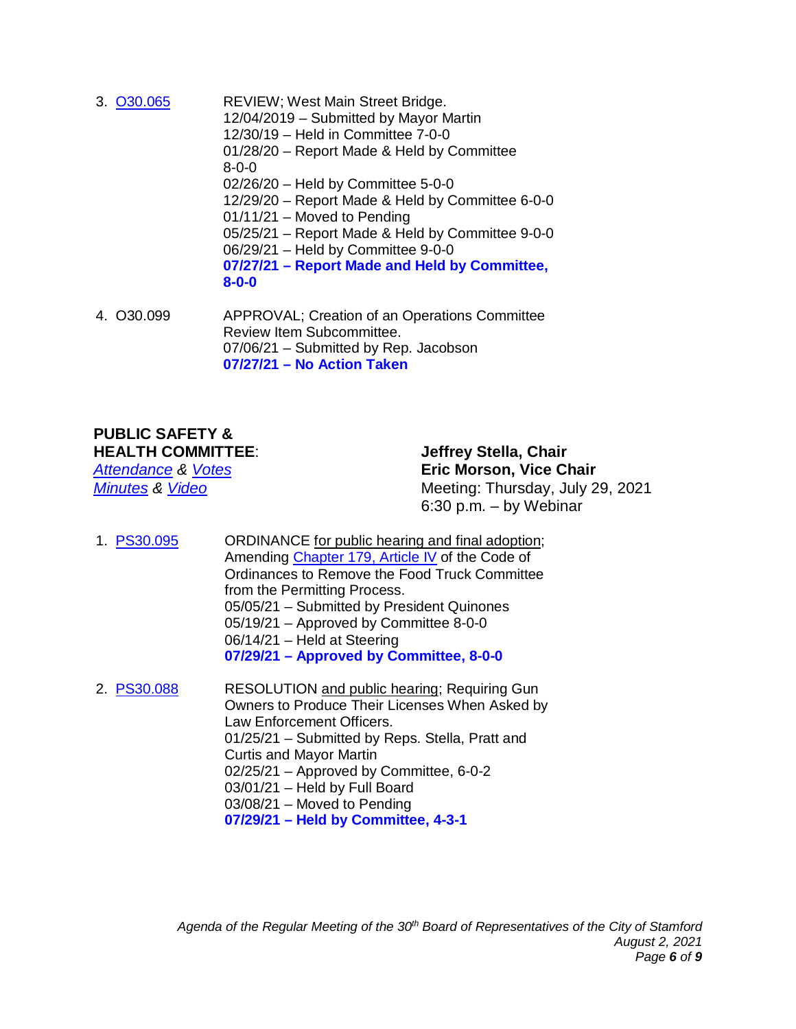- 3. [O30.065](http://www.boardofreps.org/o30065.aspx) REVIEW; West Main Street Bridge. 12/04/2019 – Submitted by Mayor Martin 12/30/19 – Held in Committee 7-0-0 01/28/20 – Report Made & Held by Committee 8-0-0 02/26/20 – Held by Committee 5-0-0 12/29/20 – Report Made & Held by Committee 6-0-0 01/11/21 – Moved to Pending 05/25/21 – Report Made & Held by Committee 9-0-0 06/29/21 – Held by Committee 9-0-0 **07/27/21 – Report Made and Held by Committee, 8-0-0**
- 4. O30.099 APPROVAL; Creation of an Operations Committee Review Item Subcommittee. 07/06/21 – Submitted by Rep. Jacobson **07/27/21 – No Action Taken**

#### **PUBLIC SAFETY & HEALTH COMMITTEE**: **Jeffrey Stella, Chair**

*[Attendance](http://www.boardofreps.org/Data/Sites/43/userfiles/committees/publicsafety/attend/2021/ps210729_attend.pdf) & [Votes](http://www.boardofreps.org/Data/Sites/43/userfiles/committees/publicsafety/votes/2021/ps210729_vote.pdf)* **Eric Morson, Vice Chair** *[Minutes](http://www.boardofreps.org/Data/Sites/43/userfiles/committees/publicsafety/reports/2021/ps210729.pdf) & [Video](http://cityofstamford.granicus.com/player/clip/10736)* Meeting: Thursday, July 29, 2021 6:30 p.m. – by Webinar

- 1. [PS30.095](http://www.boardofreps.org/ps30095.aspx) ORDINANCE for public hearing and final adoption; Amending [Chapter 179, Article IV](https://library.municode.com/ct/stamford/codes/code_of_ordinances?nodeId=COOR_CH179PESTVESO_ARTIVMOSTVE) of the Code of Ordinances to Remove the Food Truck Committee from the Permitting Process. 05/05/21 – Submitted by President Quinones 05/19/21 – Approved by Committee 8-0-0 06/14/21 – Held at Steering **07/29/21 – Approved by Committee, 8-0-0**
- 2. [PS30.088](http://www.boardofreps.org/ps30088.aspx) RESOLUTION and public hearing; Requiring Gun Owners to Produce Their Licenses When Asked by Law Enforcement Officers. 01/25/21 – Submitted by Reps. Stella, Pratt and Curtis and Mayor Martin 02/25/21 – Approved by Committee, 6-0-2 03/01/21 – Held by Full Board 03/08/21 – Moved to Pending **07/29/21 – Held by Committee, 4-3-1**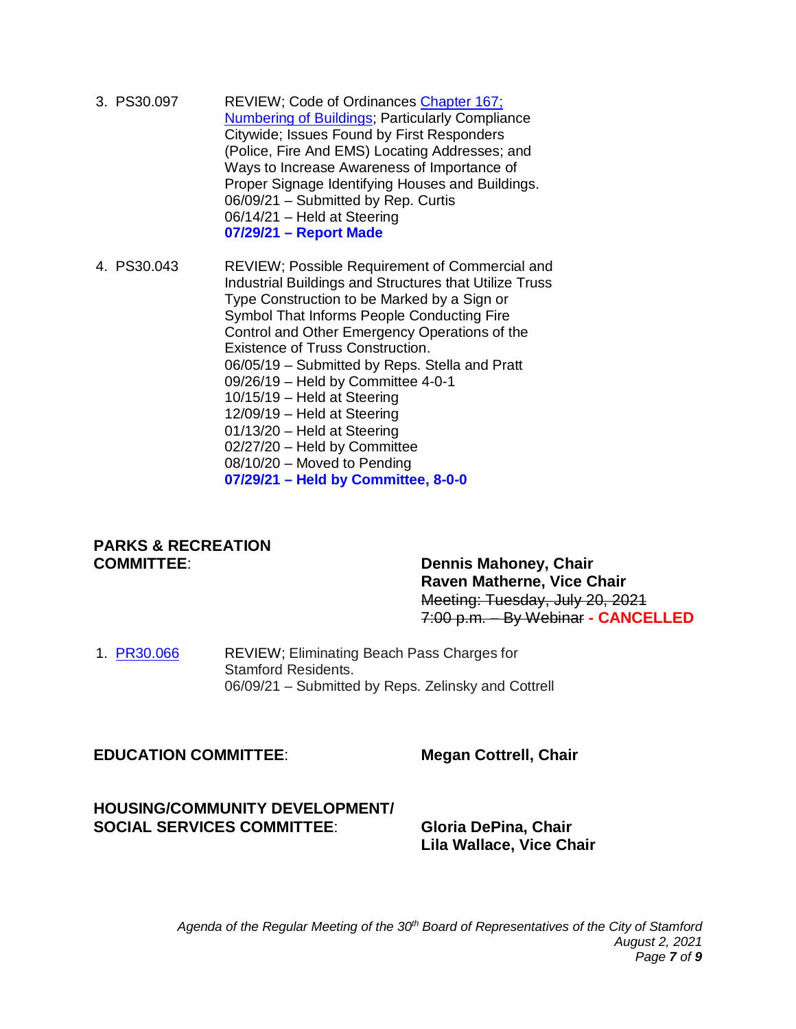3. PS30.097 REVIEW; Code of Ordinances [Chapter 167;](https://library.municode.com/ct/stamford/codes/code_of_ordinances?nodeId=COOR_CH167NUBU)  [Numbering of Buildings;](https://library.municode.com/ct/stamford/codes/code_of_ordinances?nodeId=COOR_CH167NUBU) Particularly Compliance Citywide; Issues Found by First Responders (Police, Fire And EMS) Locating Addresses; and Ways to Increase Awareness of Importance of Proper Signage Identifying Houses and Buildings. 06/09/21 – Submitted by Rep. Curtis 06/14/21 – Held at Steering **07/29/21 – Report Made**

4. PS30.043 REVIEW; Possible Requirement of Commercial and Industrial Buildings and Structures that Utilize Truss Type Construction to be Marked by a Sign or Symbol That Informs People Conducting Fire Control and Other Emergency Operations of the Existence of Truss Construction. 06/05/19 – Submitted by Reps. Stella and Pratt 09/26/19 – Held by Committee 4-0-1 10/15/19 – Held at Steering 12/09/19 – Held at Steering 01/13/20 – Held at Steering 02/27/20 – Held by Committee 08/10/20 – Moved to Pending **07/29/21 – Held by Committee, 8-0-0**

#### **PARKS & RECREATION COMMITTEE**: **Dennis Mahoney, Chair**

**Raven Matherne, Vice Chair** Meeting: Tuesday, July 20, 2021 7:00 p.m. – By Webinar **- CANCELLED**

1. **[PR30.066](http://www.boardofreps.org/data/sites/43/userfiles/committees/parksrec/items/2021/pr30066_zelinsky_email_210618.pdf)** REVIEW; Eliminating Beach Pass Charges for Stamford Residents. 06/09/21 – Submitted by Reps. Zelinsky and Cottrell

#### **EDUCATION COMMITTEE**: **Megan Cottrell, Chair**

#### **HOUSING/COMMUNITY DEVELOPMENT/ SOCIAL SERVICES COMMITTEE**: **Gloria DePina, Chair**

**Lila Wallace, Vice Chair**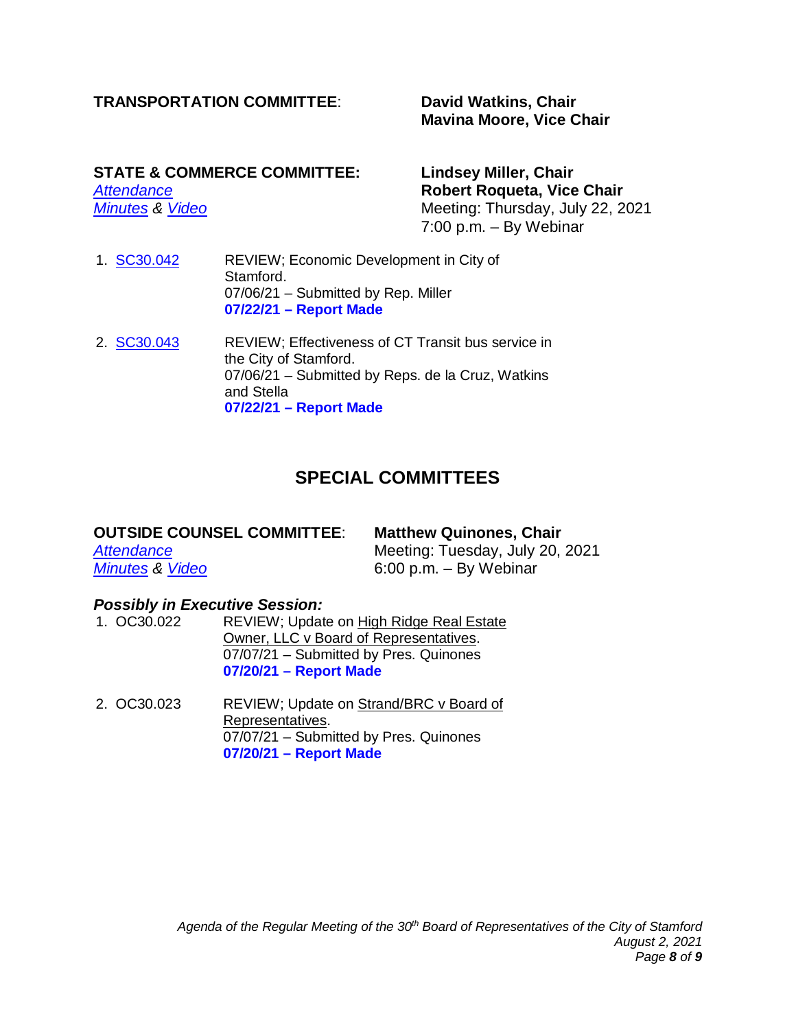### **TRANSPORTATION COMMITTEE**: **David Watkins, Chair**

# **Mavina Moore, Vice Chair**

# **STATE & COMMERCE COMMITTEE: Lindsey Miller, Chair**

*[Attendance](http://www.boardofreps.org/Data/Sites/43/userfiles/committees/statecomm/attend/2021/sc210722_attend.pdf)* **Robert Roqueta, Vice Chair** *Meeting: Thursday, July 22, 2021* 7:00 p.m. – By Webinar

- 1. [SC30.042](http://www.boardofreps.org/data/sites/43/userfiles/committees/statecomm/items/2021/sc30042_update_210722.pdf) REVIEW; Economic Development in City of Stamford. 07/06/21 – Submitted by Rep. Miller **07/22/21 – Report Made**
- 2. [SC30.043](http://www.boardofreps.org/sc30043.aspx) REVIEW; Effectiveness of CT Transit bus service in the City of Stamford. 07/06/21 – Submitted by Reps. de la Cruz, Watkins and Stella **07/22/21 – Report Made**

### **SPECIAL COMMITTEES**

| <b>OUTSIDE COUNSEL COMMITTEE:</b> | <b>Matthew Quinones, Chair</b>  |
|-----------------------------------|---------------------------------|
| Attendance                        | Meeting: Tuesday, July 20, 2021 |
| <b>Minutes &amp; Video</b>        | $6:00$ p.m. $-$ By Webinar      |

## *Possibly in Executive Session:*

- REVIEW; Update on High Ridge Real Estate Owner, LLC v Board of Representatives. 07/07/21 – Submitted by Pres. Quinones **07/20/21 – Report Made**
- 2. OC30.023 REVIEW; Update on Strand/BRC v Board of Representatives. 07/07/21 – Submitted by Pres. Quinones **07/20/21 – Report Made**